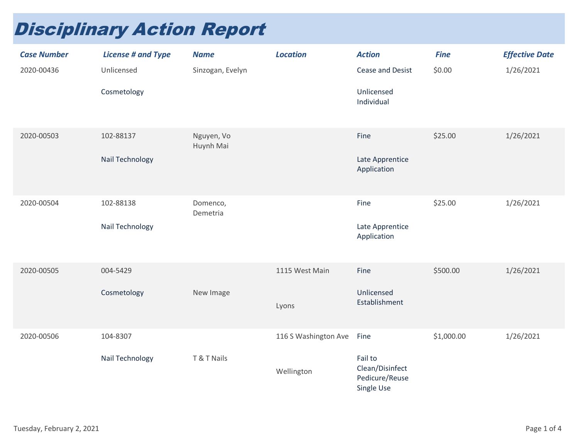## Disciplinary Action Report

| <b>Case Number</b> | <b>License # and Type</b> | <b>Name</b>             | <b>Location</b>      | <b>Action</b>                                              | <b>Fine</b> | <b>Effective Date</b> |
|--------------------|---------------------------|-------------------------|----------------------|------------------------------------------------------------|-------------|-----------------------|
| 2020-00436         | Unlicensed                | Sinzogan, Evelyn        |                      | Cease and Desist                                           | \$0.00      | 1/26/2021             |
|                    | Cosmetology               |                         |                      | Unlicensed<br>Individual                                   |             |                       |
| 2020-00503         | 102-88137                 | Nguyen, Vo<br>Huynh Mai |                      | Fine                                                       | \$25.00     | 1/26/2021             |
|                    | Nail Technology           |                         |                      | Late Apprentice<br>Application                             |             |                       |
| 2020-00504         | 102-88138                 | Domenco,<br>Demetria    |                      | Fine                                                       | \$25.00     | 1/26/2021             |
|                    | Nail Technology           |                         |                      | Late Apprentice<br>Application                             |             |                       |
| 2020-00505         | 004-5429                  |                         | 1115 West Main       | Fine                                                       | \$500.00    | 1/26/2021             |
|                    | Cosmetology               | New Image               | Lyons                | Unlicensed<br>Establishment                                |             |                       |
| 2020-00506         | 104-8307                  |                         | 116 S Washington Ave | Fine                                                       | \$1,000.00  | 1/26/2021             |
|                    | Nail Technology           | T & T Nails             | Wellington           | Fail to<br>Clean/Disinfect<br>Pedicure/Reuse<br>Single Use |             |                       |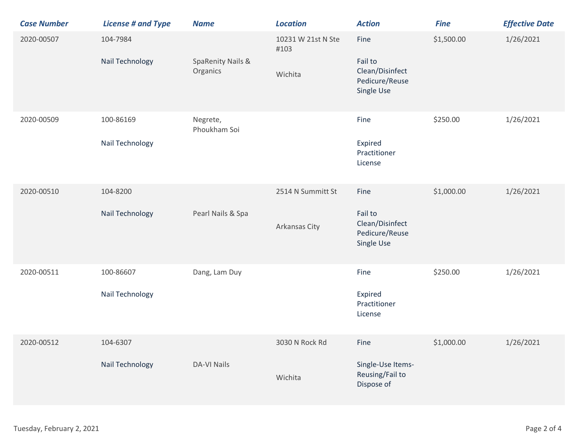| <b>Case Number</b> | <b>License # and Type</b>    | <b>Name</b>                              | <b>Location</b>                       | <b>Action</b>                                                      | <b>Fine</b> | <b>Effective Date</b> |
|--------------------|------------------------------|------------------------------------------|---------------------------------------|--------------------------------------------------------------------|-------------|-----------------------|
| 2020-00507         | 104-7984<br>Nail Technology  | <b>SpaRenity Nails &amp;</b><br>Organics | 10231 W 21st N Ste<br>#103<br>Wichita | Fine<br>Fail to<br>Clean/Disinfect<br>Pedicure/Reuse<br>Single Use | \$1,500.00  | 1/26/2021             |
| 2020-00509         | 100-86169<br>Nail Technology | Negrete,<br>Phoukham Soi                 |                                       | Fine<br>Expired<br>Practitioner<br>License                         | \$250.00    | 1/26/2021             |
| 2020-00510         | 104-8200<br>Nail Technology  | Pearl Nails & Spa                        | 2514 N Summitt St<br>Arkansas City    | Fine<br>Fail to<br>Clean/Disinfect<br>Pedicure/Reuse<br>Single Use | \$1,000.00  | 1/26/2021             |
| 2020-00511         | 100-86607<br>Nail Technology | Dang, Lam Duy                            |                                       | Fine<br>Expired<br>Practitioner<br>License                         | \$250.00    | 1/26/2021             |
| 2020-00512         | 104-6307<br>Nail Technology  | <b>DA-VI Nails</b>                       | 3030 N Rock Rd<br>Wichita             | Fine<br>Single-Use Items-<br>Reusing/Fail to<br>Dispose of         | \$1,000.00  | 1/26/2021             |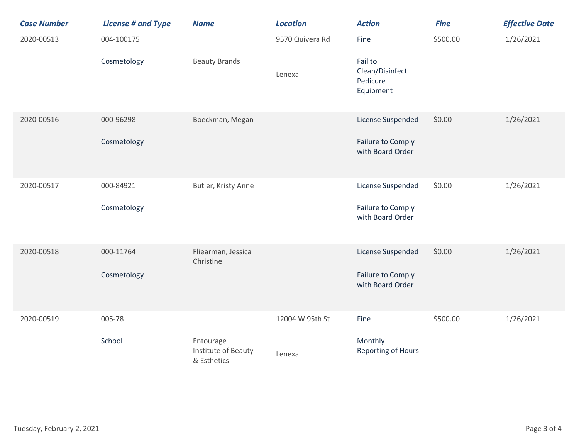| <b>Case Number</b> | <b>License # and Type</b> | <b>Name</b>                                     | <b>Location</b> | <b>Action</b>                                       | <b>Fine</b> | <b>Effective Date</b> |
|--------------------|---------------------------|-------------------------------------------------|-----------------|-----------------------------------------------------|-------------|-----------------------|
| 2020-00513         | 004-100175                |                                                 | 9570 Quivera Rd | Fine                                                | \$500.00    | 1/26/2021             |
|                    | Cosmetology               | <b>Beauty Brands</b>                            | Lenexa          | Fail to<br>Clean/Disinfect<br>Pedicure<br>Equipment |             |                       |
| 2020-00516         | 000-96298                 | Boeckman, Megan                                 |                 | License Suspended                                   | \$0.00      | 1/26/2021             |
|                    | Cosmetology               |                                                 |                 | Failure to Comply<br>with Board Order               |             |                       |
| 2020-00517         | 000-84921                 | Butler, Kristy Anne                             |                 | License Suspended                                   | \$0.00      | 1/26/2021             |
|                    | Cosmetology               |                                                 |                 | Failure to Comply<br>with Board Order               |             |                       |
| 2020-00518         | 000-11764                 | Fliearman, Jessica<br>Christine                 |                 | License Suspended                                   | \$0.00      | 1/26/2021             |
|                    | Cosmetology               |                                                 |                 | Failure to Comply<br>with Board Order               |             |                       |
| 2020-00519         | 005-78                    |                                                 | 12004 W 95th St | Fine                                                | \$500.00    | 1/26/2021             |
|                    | School                    | Entourage<br>Institute of Beauty<br>& Esthetics | Lenexa          | Monthly<br><b>Reporting of Hours</b>                |             |                       |